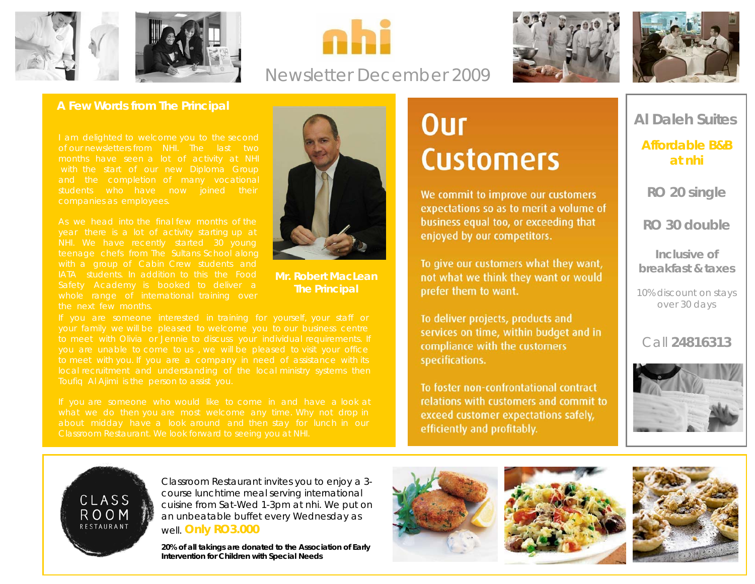





## Newsletter December 2009





### **A Few Words from The Principal**

of our newsletters from NHI. The last two

As we head into the final few months of the NHI. We have recently started 30 young IATA students. In addition to this the Food



**Mr. Robert MacLean The Principal**

# **Our Customers**

We commit to improve our customers expectations so as to merit a volume of business equal too, or exceeding that enjoyed by our competitors.

To give our customers what they want, not what we think they want or would prefer them to want.

To deliver projects, products and services on time, within budget and in compliance with the customers specifications.

To foster non-confrontational contract relations with customers and commit to exceed customer expectations safely, efficiently and profitably.

**Al Daleh Suites** 

**Affordable B&B at nhi**

**RO 20 single** 

**RO 30 double** 

**Inclusive of breakfast & taxes** 

10% discount on stays over 30 days

Call **24816313**



CLASS **ROOM** RESTAURANT

Classroom Restaurant invites you to enjoy a 3 course lunchtime meal serving international cuisine from Sat-Wed 1-3pm at nhi. We put on an unbeatable buffet every Wednesday as well. **Only RO3.000**

**20% of all takings are donated to the Association of Early Intervention for Children with Special Needs** 





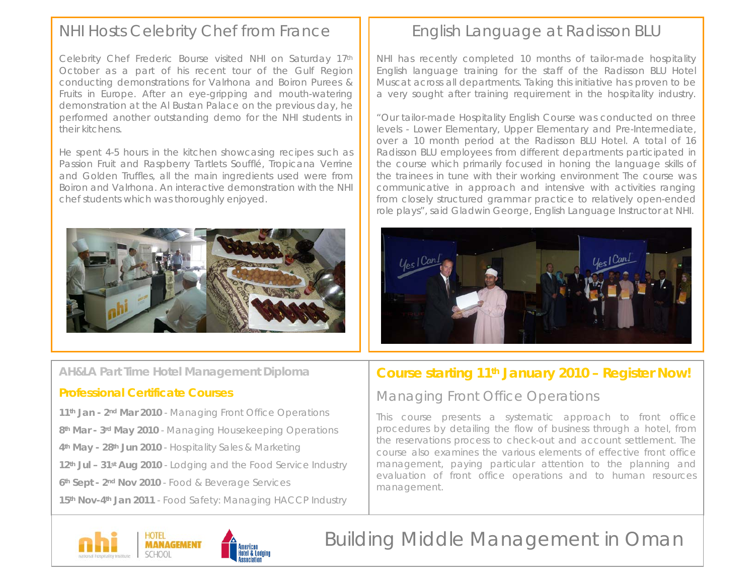## NHI Hosts Celebrity Chef from France

Celebrity Chef Frederic Bourse visited NHI on Saturday 17th October as a part of his recent tour of the Gulf Region conducting demonstrations for Valrhona and Boiron Purees & Fruits in Europe. After an eye-gripping and mouth-watering demonstration at the Al Bustan Palace on the previous day, he performed another outstanding demo for the NHI students in their kitchens.

He spent 4-5 hours in the kitchen showcasing recipes such as Passion Fruit and Raspberry Tartlets Soufflé, Tropicana Verrine and Golden Truffles, all the main ingredients used were from Boiron and Valrhona. An interactive demonstration with the NHI chef students which was thoroughly enjoyed.



### **AH&LA Part Time Hotel Management Diploma**

### **Professional Certificate Courses**

**11th Jan - 2nd Mar 2010** - Managing Front Office Operations **8th Mar - 3rd May 2010** - Managing Housekeeping Operations **4th May - 28th Jun 2010** - Hospitality Sales & Marketing **12th Jul – 31st Aug 2010** - Lodging and the Food Service Industry **6th Sept - 2nd Nov 2010** - Food & Beverage Services **15th Nov-4th Jan 2011** - Food Safety: Managing HACCP Industry

## English Language at Radisson BLU

NHI has recently completed 10 months of tailor-made hospitality English language training for the staff of the Radisson BLU Hotel Muscat across all departments. Taking this initiative has proven to be a very sought after training requirement in the hospitality industry.

"Our tailor-made Hospitality English Course was conducted on three levels - Lower Elementary, Upper Elementary and Pre-Intermediate, over a 10 month period at the Radisson BLU Hotel. A total of 16 Radisson BLU employees from different departments participated in the course which primarily focused in honing the language skills of the trainees in tune with their working environment The course was communicative in approach and intensive with activities ranging from closely structured grammar practice to relatively open-ended role plays", said Gladwin George, English Language Instructor at NHI.



### **Course starting 11th January 2010 – Register Now!**

### Managing Front Office Operations

This course presents a systematic approach to front office procedures by detailing the flow of business through a hotel, from the reservations process to check-out and account settlement. The course also examines the various elements of effective front office management, paying particular attention to the planning and evaluation of front office operations and to human resources management.



## Building Middle Management in Oman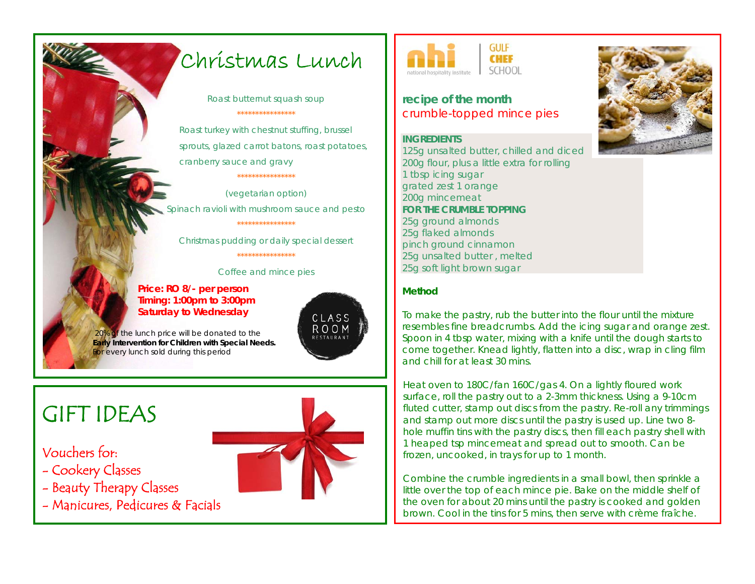## Christmas Lunch

*Roast butternut squash soup \*\*\*\*\*\*\*\*\*\*\*\*\*\*\*\**

*Roast turkey with chestnut stuffing, brussel sprouts, glazed carrot batons, roast potatoes, cranberry sauce and gravy \*\*\*\*\*\*\*\*\*\*\*\*\*\*\*\**

*(vegetarian option) Spinach ravioli with mushroom sauce and pesto \*\*\*\*\*\*\*\*\*\*\*\*\*\*\*\**

*Christmas pudding or daily special dessert*

*\*\*\*\*\*\*\*\*\*\*\*\*\*\*\*\**

*Coffee and mince pies* 

#### **Price: RO 8/- per person Timing: 1:00pm to 3:00pm Saturday to Wednesday**

 *20% of the lunch price will be donated to the* **Early Intervention for Children with Special Needs.**  *For every lunch sold during this period* 

# GIFT IDEAS

### Vouchers for:

- Cookery Classes
- Beauty Therapy Classes
- Manicures, Pedicures & Facials



CLASS ROOM



### **recipe of the month**  crumble-topped mince pies

**INGREDIENTS** 125g unsalted butter, chilled and diced 200g [flour,](http://www.bbcgoodfood.com/content/knowhow/glossary/flour/) plus a little extra for rolling 1 tbsp icing sugar grated zest 1 [orange](http://www.bbcgoodfood.com/content/knowhow/glossary/orange/) 200g mincemeat **FOR THE CRUMBLE TOPPING** 25g ground almonds 25g flaked almonds pinch ground cinnamon 25g unsalted butter , melted 25g soft light brown sugar



#### **Method**

To make the pastry, rub the butter into the flour until the mixture resembles fine breadcrumbs. Add the icing sugar and orange zest. Spoon in 4 tbsp water, mixing with a knife until the dough starts to come together. Knead lightly, flatten into a disc, wrap in cling film and chill for at least 30 mins.

Heat oven to 180C/fan 160C/gas 4. On a lightly floured work surface, roll the pastry out to a 2-3mm thickness. Using a 9-10cm fluted cutter, stamp out discs from the pastry. Re-roll any trimmings and stamp out more discs until the pastry is used up. Line two 8 hole muffin tins with the pastry discs, then fill each pastry shell with 1 heaped tsp mincemeat and spread out to smooth. Can be frozen, uncooked, in trays for up to 1 month.

Combine the crumble ingredients in a small bowl, then sprinkle a little over the top of each mince pie. Bake on the middle shelf of the oven for about 20 mins until the pastry is cooked and golden brown. Cool in the tins for 5 mins, then serve with crème fraîche.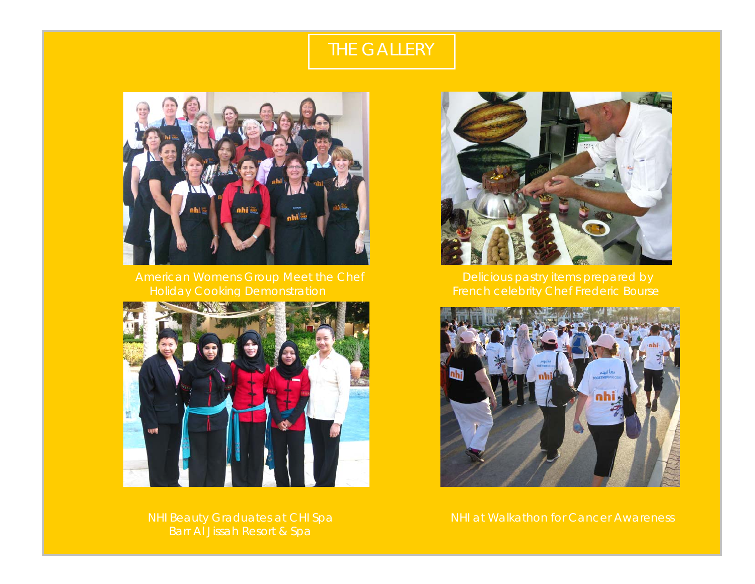## THE GALLERY





Barr Al Jissah Resort & Spa